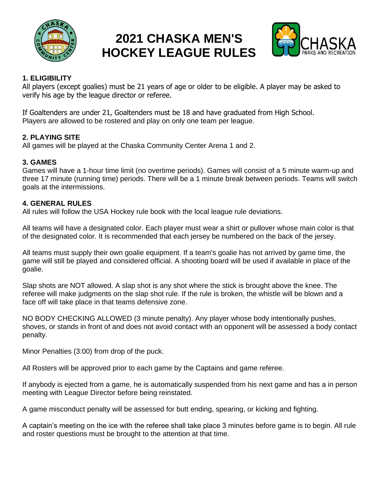

# **2021 CHASKA MEN'S HOCKEY LEAGUE RULES**



### **1. ELIGIBILITY**

All players (except goalies) must be 21 years of age or older to be eligible. A player may be asked to verify his age by the league director or referee.

If Goaltenders are under 21, Goaltenders must be 18 and have graduated from High School. Players are allowed to be rostered and play on only one team per league.

## **2. PLAYING SITE**

All games will be played at the Chaska Community Center Arena 1 and 2.

## **3. GAMES**

Games will have a 1-hour time limit (no overtime periods). Games will consist of a 5 minute warm-up and three 17 minute (running time) periods. There will be a 1 minute break between periods. Teams will switch goals at the intermissions.

#### **4. GENERAL RULES**

All rules will follow the USA Hockey rule book with the local league rule deviations.

All teams will have a designated color. Each player must wear a shirt or pullover whose main color is that of the designated color. It is recommended that each jersey be numbered on the back of the jersey.

All teams must supply their own goalie equipment. If a team's goalie has not arrived by game time, the game will still be played and considered official. A shooting board will be used if available in place of the goalie.

Slap shots are NOT allowed. A slap shot is any shot where the stick is brought above the knee. The referee will make judgments on the slap shot rule. If the rule is broken, the whistle will be blown and a face off will take place in that teams defensive zone.

NO BODY CHECKING ALLOWED (3 minute penalty). Any player whose body intentionally pushes, shoves, or stands in front of and does not avoid contact with an opponent will be assessed a body contact penalty.

Minor Penalties (3:00) from drop of the puck.

All Rosters will be approved prior to each game by the Captains and game referee.

If anybody is ejected from a game, he is automatically suspended from his next game and has a in person meeting with League Director before being reinstated.

A game misconduct penalty will be assessed for butt ending, spearing, or kicking and fighting.

A captain's meeting on the ice with the referee shall take place 3 minutes before game is to begin. All rule and roster questions must be brought to the attention at that time.